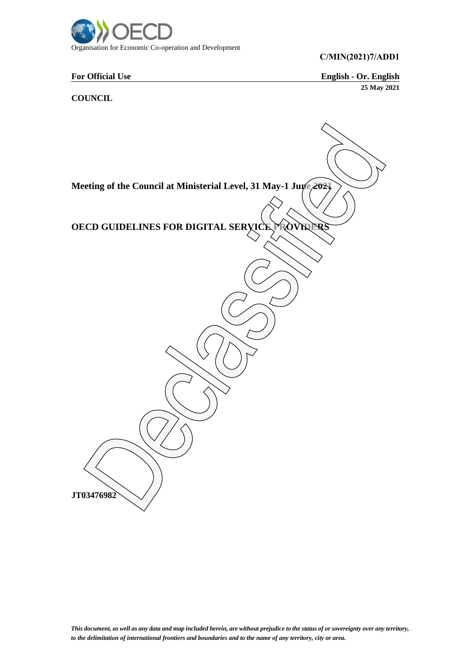

## **C/MIN(2021)7/ADD1**

**For Official Use English - Or. English 25 May 2021**

**COUNCIL**

Meeting of the Council at Ministerial Level, 31 May-1 June 2021 **OECD GUIDELINES FOR DIGITAL SERVICE PROVIDER JT03476982**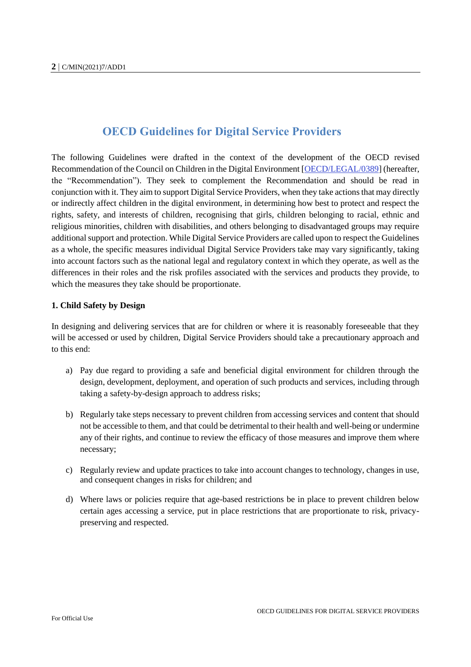# **OECD Guidelines for Digital Service Providers**

The following Guidelines were drafted in the context of the development of the OECD revised Recommendation of the Council on Children in the Digital Environment [OECD/LEGAL/0389] (hereafter, the "Recommendation"). They seek to complement the Recommendation and should be read in conjunction with it. They aim to support Digital Service Providers, when they take actions that may directly or indirectly affect children in the digital environment, in determining how best to protect and respect the rights, safety, and interests of children, recognising that girls, children belonging to racial, ethnic and religious minorities, children with disabilities, and others belonging to disadvantaged groups may require additional support and protection. While Digital Service Providers are called upon to respect the Guidelines as a whole, the specific measures individual Digital Service Providers take may vary significantly, taking into account factors such as the national legal and regulatory context in which they operate, as well as the differences in their roles and the risk profiles associated with the services and products they provide, to which the measures they take should be proportionate.

## **1. Child Safety by Design**

In designing and delivering services that are for children or where it is reasonably foreseeable that they will be accessed or used by children, Digital Service Providers should take a precautionary approach and to this end:

- a) Pay due regard to providing a safe and beneficial digital environment for children through the design, development, deployment, and operation of such products and services, including through taking a safety-by-design approach to address risks;
- b) Regularly take steps necessary to prevent children from accessing services and content that should not be accessible to them, and that could be detrimental to their health and well-being or undermine any of their rights, and continue to review the efficacy of those measures and improve them where necessary;
- c) Regularly review and update practices to take into account changes to technology, changes in use, and consequent changes in risks for children; and
- d) Where laws or policies require that age-based restrictions be in place to prevent children below certain ages accessing a service, put in place restrictions that are proportionate to risk, privacypreserving and respected.